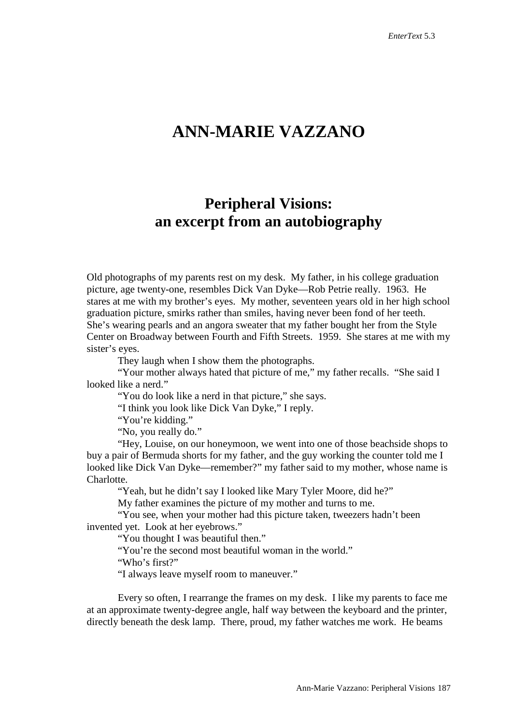## **ANN-MARIE VAZZANO**

## **Peripheral Visions: an excerpt from an autobiography**

Old photographs of my parents rest on my desk. My father, in his college graduation picture, age twenty-one, resembles Dick Van Dyke—Rob Petrie really. 1963. He stares at me with my brother's eyes. My mother, seventeen years old in her high school graduation picture, smirks rather than smiles, having never been fond of her teeth. She's wearing pearls and an angora sweater that my father bought her from the Style Center on Broadway between Fourth and Fifth Streets. 1959. She stares at me with my sister's eyes.

They laugh when I show them the photographs.

"Your mother always hated that picture of me," my father recalls. "She said I looked like a nerd."

"You do look like a nerd in that picture," she says.

"I think you look like Dick Van Dyke," I reply.

"You're kidding."

"No, you really do."

"Hey, Louise, on our honeymoon, we went into one of those beachside shops to buy a pair of Bermuda shorts for my father, and the guy working the counter told me I looked like Dick Van Dyke—remember?" my father said to my mother, whose name is Charlotte.

"Yeah, but he didn't say I looked like Mary Tyler Moore, did he?"

My father examines the picture of my mother and turns to me.

"You see, when your mother had this picture taken, tweezers hadn't been invented yet. Look at her eyebrows."

"You thought I was beautiful then."

"You're the second most beautiful woman in the world."

"Who's first?"

"I always leave myself room to maneuver."

Every so often, I rearrange the frames on my desk. I like my parents to face me at an approximate twenty-degree angle, half way between the keyboard and the printer, directly beneath the desk lamp. There, proud, my father watches me work. He beams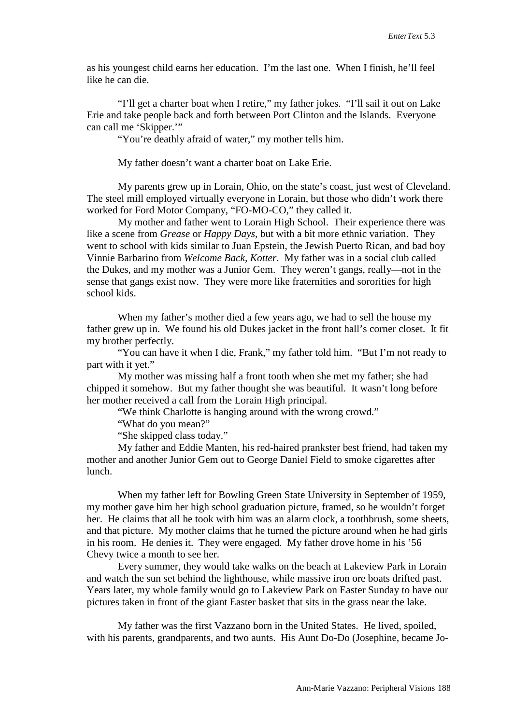as his youngest child earns her education. I'm the last one. When I finish, he'll feel like he can die.

"I'll get a charter boat when I retire," my father jokes. "I'll sail it out on Lake Erie and take people back and forth between Port Clinton and the Islands. Everyone can call me 'Skipper.'"

"You're deathly afraid of water," my mother tells him.

My father doesn't want a charter boat on Lake Erie.

My parents grew up in Lorain, Ohio, on the state's coast, just west of Cleveland. The steel mill employed virtually everyone in Lorain, but those who didn't work there worked for Ford Motor Company, "FO-MO-CO," they called it.

My mother and father went to Lorain High School. Their experience there was like a scene from *Grease* or *Happy Days,* but with a bit more ethnic variation. They went to school with kids similar to Juan Epstein, the Jewish Puerto Rican, and bad boy Vinnie Barbarino from *Welcome Back, Kotter*. My father was in a social club called the Dukes, and my mother was a Junior Gem. They weren't gangs, really—not in the sense that gangs exist now. They were more like fraternities and sororities for high school kids.

When my father's mother died a few years ago, we had to sell the house my father grew up in. We found his old Dukes jacket in the front hall's corner closet. It fit my brother perfectly.

"You can have it when I die, Frank," my father told him. "But I'm not ready to part with it yet."

My mother was missing half a front tooth when she met my father; she had chipped it somehow. But my father thought she was beautiful. It wasn't long before her mother received a call from the Lorain High principal.

"We think Charlotte is hanging around with the wrong crowd."

"What do you mean?"

"She skipped class today."

My father and Eddie Manten, his red-haired prankster best friend, had taken my mother and another Junior Gem out to George Daniel Field to smoke cigarettes after lunch.

When my father left for Bowling Green State University in September of 1959, my mother gave him her high school graduation picture, framed, so he wouldn't forget her. He claims that all he took with him was an alarm clock, a toothbrush, some sheets, and that picture. My mother claims that he turned the picture around when he had girls in his room. He denies it. They were engaged. My father drove home in his '56 Chevy twice a month to see her.

Every summer, they would take walks on the beach at Lakeview Park in Lorain and watch the sun set behind the lighthouse, while massive iron ore boats drifted past. Years later, my whole family would go to Lakeview Park on Easter Sunday to have our pictures taken in front of the giant Easter basket that sits in the grass near the lake.

My father was the first Vazzano born in the United States. He lived, spoiled, with his parents, grandparents, and two aunts. His Aunt Do-Do (Josephine, became Jo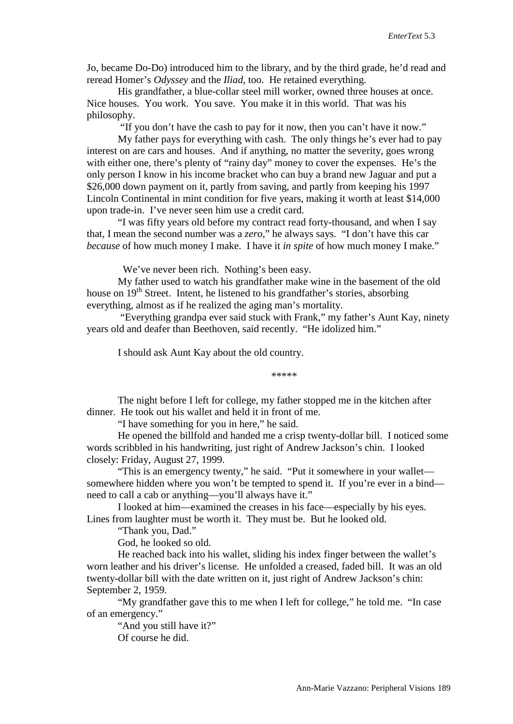Jo, became Do-Do) introduced him to the library, and by the third grade, he'd read and reread Homer's *Odyssey* and the *Iliad*, too. He retained everything.

His grandfather, a blue-collar steel mill worker, owned three houses at once. Nice houses. You work. You save. You make it in this world. That was his philosophy.

"If you don't have the cash to pay for it now, then you can't have it now."

My father pays for everything with cash. The only things he's ever had to pay interest on are cars and houses. And if anything, no matter the severity, goes wrong with either one, there's plenty of "rainy day" money to cover the expenses. He's the only person I know in his income bracket who can buy a brand new Jaguar and put a \$26,000 down payment on it, partly from saving, and partly from keeping his 1997 Lincoln Continental in mint condition for five years, making it worth at least \$14,000 upon trade-in. I've never seen him use a credit card.

"I was fifty years old before my contract read forty-thousand, and when I say that, I mean the second number was a *zero*," he always says. "I don't have this car *because* of how much money I make. I have it *in spite* of how much money I make."

We've never been rich. Nothing's been easy.

My father used to watch his grandfather make wine in the basement of the old house on  $19<sup>th</sup>$  Street. Intent, he listened to his grandfather's stories, absorbing everything, almost as if he realized the aging man's mortality.

"Everything grandpa ever said stuck with Frank," my father's Aunt Kay, ninety years old and deafer than Beethoven, said recently. "He idolized him."

I should ask Aunt Kay about the old country.

\*\*\*\*\*

The night before I left for college, my father stopped me in the kitchen after dinner. He took out his wallet and held it in front of me.

"I have something for you in here," he said.

He opened the billfold and handed me a crisp twenty-dollar bill. I noticed some words scribbled in his handwriting, just right of Andrew Jackson's chin. I looked closely: Friday, August 27, 1999.

"This is an emergency twenty," he said. "Put it somewhere in your wallet somewhere hidden where you won't be tempted to spend it. If you're ever in a bind need to call a cab or anything—you'll always have it."

I looked at him—examined the creases in his face—especially by his eyes. Lines from laughter must be worth it. They must be. But he looked old.

"Thank you, Dad."

God, he looked so old.

He reached back into his wallet, sliding his index finger between the wallet's worn leather and his driver's license. He unfolded a creased, faded bill. It was an old twenty-dollar bill with the date written on it, just right of Andrew Jackson's chin: September 2, 1959.

"My grandfather gave this to me when I left for college," he told me. "In case of an emergency."

"And you still have it?"

Of course he did.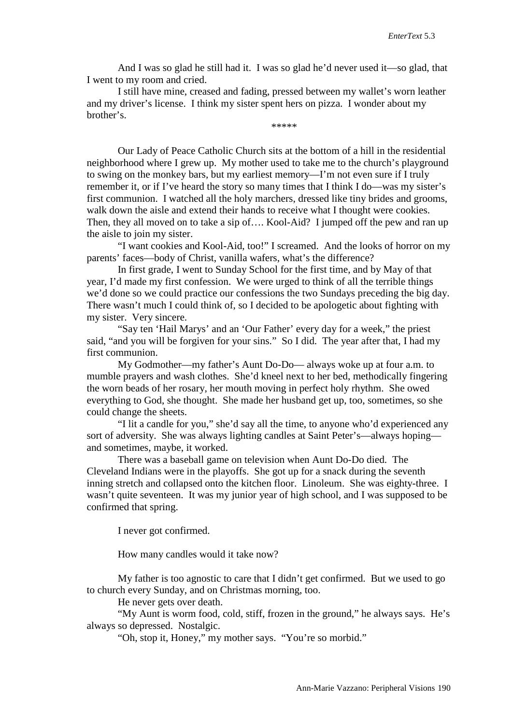And I was so glad he still had it. I was so glad he'd never used it—so glad, that I went to my room and cried.

I still have mine, creased and fading, pressed between my wallet's worn leather and my driver's license. I think my sister spent hers on pizza. I wonder about my brother's. \*\*\*\*\*

Our Lady of Peace Catholic Church sits at the bottom of a hill in the residential neighborhood where I grew up. My mother used to take me to the church's playground to swing on the monkey bars, but my earliest memory—I'm not even sure if I truly remember it, or if I've heard the story so many times that I think I do—was my sister's first communion. I watched all the holy marchers, dressed like tiny brides and grooms, walk down the aisle and extend their hands to receive what I thought were cookies. Then, they all moved on to take a sip of…. Kool-Aid? I jumped off the pew and ran up the aisle to join my sister.

"I want cookies and Kool-Aid, too!" I screamed. And the looks of horror on my parents' faces—body of Christ, vanilla wafers, what's the difference?

In first grade, I went to Sunday School for the first time, and by May of that year, I'd made my first confession. We were urged to think of all the terrible things we'd done so we could practice our confessions the two Sundays preceding the big day. There wasn't much I could think of, so I decided to be apologetic about fighting with my sister. Very sincere.

"Say ten 'Hail Marys' and an 'Our Father' every day for a week," the priest said, "and you will be forgiven for your sins." So I did. The year after that, I had my first communion.

My Godmother—my father's Aunt Do-Do— always woke up at four a.m. to mumble prayers and wash clothes. She'd kneel next to her bed, methodically fingering the worn beads of her rosary, her mouth moving in perfect holy rhythm. She owed everything to God, she thought. She made her husband get up, too, sometimes, so she could change the sheets.

"I lit a candle for you," she'd say all the time, to anyone who'd experienced any sort of adversity. She was always lighting candles at Saint Peter's—always hoping and sometimes, maybe, it worked.

There was a baseball game on television when Aunt Do-Do died. The Cleveland Indians were in the playoffs. She got up for a snack during the seventh inning stretch and collapsed onto the kitchen floor. Linoleum. She was eighty-three. I wasn't quite seventeen. It was my junior year of high school, and I was supposed to be confirmed that spring.

I never got confirmed.

How many candles would it take now?

My father is too agnostic to care that I didn't get confirmed. But we used to go to church every Sunday, and on Christmas morning, too.

He never gets over death.

"My Aunt is worm food, cold, stiff, frozen in the ground," he always says. He's always so depressed. Nostalgic.

"Oh, stop it, Honey," my mother says. "You're so morbid."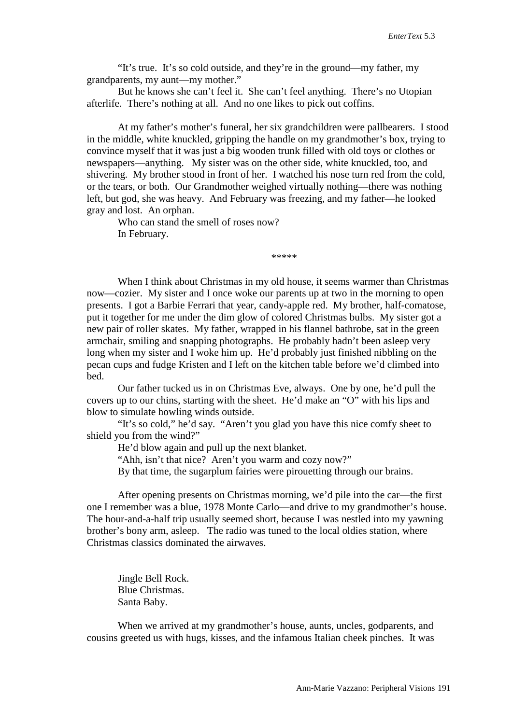"It's true. It's so cold outside, and they're in the ground—my father, my grandparents, my aunt—my mother."

But he knows she can't feel it. She can't feel anything. There's no Utopian afterlife. There's nothing at all. And no one likes to pick out coffins.

At my father's mother's funeral, her six grandchildren were pallbearers. I stood in the middle, white knuckled, gripping the handle on my grandmother's box, trying to convince myself that it was just a big wooden trunk filled with old toys or clothes or newspapers—anything. My sister was on the other side, white knuckled, too, and shivering. My brother stood in front of her. I watched his nose turn red from the cold, or the tears, or both. Our Grandmother weighed virtually nothing—there was nothing left, but god, she was heavy. And February was freezing, and my father—he looked gray and lost. An orphan.

Who can stand the smell of roses now? In February.

\*\*\*\*\*

When I think about Christmas in my old house, it seems warmer than Christmas now—cozier. My sister and I once woke our parents up at two in the morning to open presents. I got a Barbie Ferrari that year, candy-apple red. My brother, half-comatose, put it together for me under the dim glow of colored Christmas bulbs. My sister got a new pair of roller skates. My father, wrapped in his flannel bathrobe, sat in the green armchair, smiling and snapping photographs. He probably hadn't been asleep very long when my sister and I woke him up. He'd probably just finished nibbling on the pecan cups and fudge Kristen and I left on the kitchen table before we'd climbed into bed.

Our father tucked us in on Christmas Eve, always. One by one, he'd pull the covers up to our chins, starting with the sheet. He'd make an "O" with his lips and blow to simulate howling winds outside.

"It's so cold," he'd say. "Aren't you glad you have this nice comfy sheet to shield you from the wind?"

He'd blow again and pull up the next blanket.

"Ahh, isn't that nice? Aren't you warm and cozy now?"

By that time, the sugarplum fairies were pirouetting through our brains.

After opening presents on Christmas morning, we'd pile into the car—the first one I remember was a blue, 1978 Monte Carlo—and drive to my grandmother's house. The hour-and-a-half trip usually seemed short, because I was nestled into my yawning brother's bony arm, asleep. The radio was tuned to the local oldies station, where Christmas classics dominated the airwaves.

Jingle Bell Rock. Blue Christmas. Santa Baby.

When we arrived at my grandmother's house, aunts, uncles, godparents, and cousins greeted us with hugs, kisses, and the infamous Italian cheek pinches. It was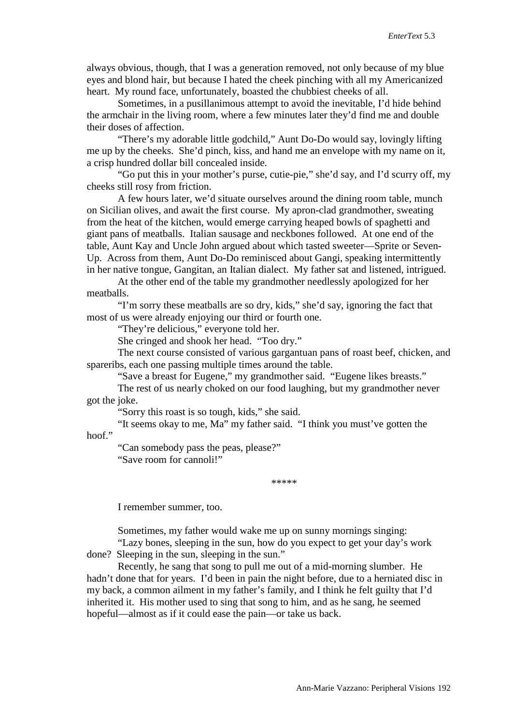always obvious, though, that I was a generation removed, not only because of my blue eyes and blond hair, but because I hated the cheek pinching with all my Americanized heart. My round face, unfortunately, boasted the chubbiest cheeks of all.

Sometimes, in a pusillanimous attempt to avoid the inevitable, I'd hide behind the armchair in the living room, where a few minutes later they'd find me and double their doses of affection.

"There's my adorable little godchild," Aunt Do-Do would say, lovingly lifting me up by the cheeks. She'd pinch, kiss, and hand me an envelope with my name on it, a crisp hundred dollar bill concealed inside.

"Go put this in your mother's purse, cutie-pie," she'd say, and I'd scurry off, my cheeks still rosy from friction.

A few hours later, we'd situate ourselves around the dining room table, munch on Sicilian olives, and await the first course. My apron-clad grandmother, sweating from the heat of the kitchen, would emerge carrying heaped bowls of spaghetti and giant pans of meatballs. Italian sausage and neckbones followed. At one end of the table, Aunt Kay and Uncle John argued about which tasted sweeter—Sprite or Seven-Up. Across from them, Aunt Do-Do reminisced about Gangi, speaking intermittently in her native tongue, Gangitan, an Italian dialect. My father sat and listened, intrigued.

At the other end of the table my grandmother needlessly apologized for her meatballs.

"I'm sorry these meatballs are so dry, kids," she'd say, ignoring the fact that most of us were already enjoying our third or fourth one.

"They're delicious," everyone told her.

She cringed and shook her head. "Too dry."

The next course consisted of various gargantuan pans of roast beef, chicken, and spareribs, each one passing multiple times around the table.

"Save a breast for Eugene," my grandmother said. "Eugene likes breasts."

The rest of us nearly choked on our food laughing, but my grandmother never got the joke.

"Sorry this roast is so tough, kids," she said.

"It seems okay to me, Ma" my father said. "I think you must've gotten the hoof."

"Can somebody pass the peas, please?" "Save room for cannoli!"

\*\*\*\*\*

I remember summer, too.

Sometimes, my father would wake me up on sunny mornings singing: "Lazy bones, sleeping in the sun, how do you expect to get your day's work

done? Sleeping in the sun, sleeping in the sun."

Recently, he sang that song to pull me out of a mid-morning slumber. He hadn't done that for years. I'd been in pain the night before, due to a herniated disc in my back, a common ailment in my father's family, and I think he felt guilty that I'd inherited it. His mother used to sing that song to him, and as he sang, he seemed hopeful—almost as if it could ease the pain—or take us back.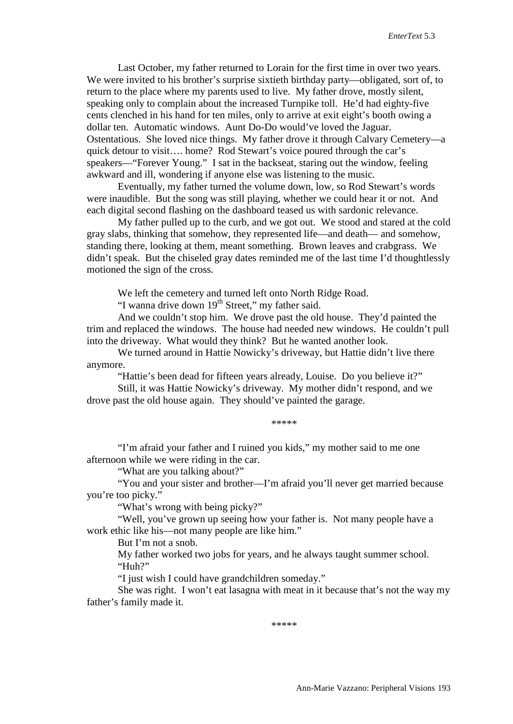Last October, my father returned to Lorain for the first time in over two years. We were invited to his brother's surprise sixtieth birthday party—obligated, sort of, to return to the place where my parents used to live. My father drove, mostly silent, speaking only to complain about the increased Turnpike toll. He'd had eighty-five cents clenched in his hand for ten miles, only to arrive at exit eight's booth owing a dollar ten. Automatic windows. Aunt Do-Do would've loved the Jaguar. Ostentatious. She loved nice things. My father drove it through Calvary Cemetery—a quick detour to visit…. home? Rod Stewart's voice poured through the car's speakers—"Forever Young." I sat in the backseat, staring out the window, feeling awkward and ill, wondering if anyone else was listening to the music.

Eventually, my father turned the volume down, low, so Rod Stewart's words were inaudible. But the song was still playing, whether we could hear it or not. And each digital second flashing on the dashboard teased us with sardonic relevance.

My father pulled up to the curb, and we got out. We stood and stared at the cold gray slabs, thinking that somehow, they represented life—and death— and somehow, standing there, looking at them, meant something. Brown leaves and crabgrass. We didn't speak. But the chiseled gray dates reminded me of the last time I'd thoughtlessly motioned the sign of the cross.

We left the cemetery and turned left onto North Ridge Road.

"I wanna drive down  $19<sup>th</sup>$  Street," my father said.

And we couldn't stop him. We drove past the old house. They'd painted the trim and replaced the windows. The house had needed new windows. He couldn't pull into the driveway. What would they think? But he wanted another look.

We turned around in Hattie Nowicky's driveway, but Hattie didn't live there anymore.

"Hattie's been dead for fifteen years already, Louise. Do you believe it?"

Still, it was Hattie Nowicky's driveway. My mother didn't respond, and we drove past the old house again. They should've painted the garage.

\*\*\*\*\*

"I'm afraid your father and I ruined you kids," my mother said to me one afternoon while we were riding in the car.

"What are you talking about?"

"You and your sister and brother—I'm afraid you'll never get married because you're too picky."

"What's wrong with being picky?"

"Well, you've grown up seeing how your father is. Not many people have a work ethic like his—not many people are like him."

But I'm not a snob.

My father worked two jobs for years, and he always taught summer school. "Huh?"

"I just wish I could have grandchildren someday."

She was right. I won't eat lasagna with meat in it because that's not the way my father's family made it.

\*\*\*\*\*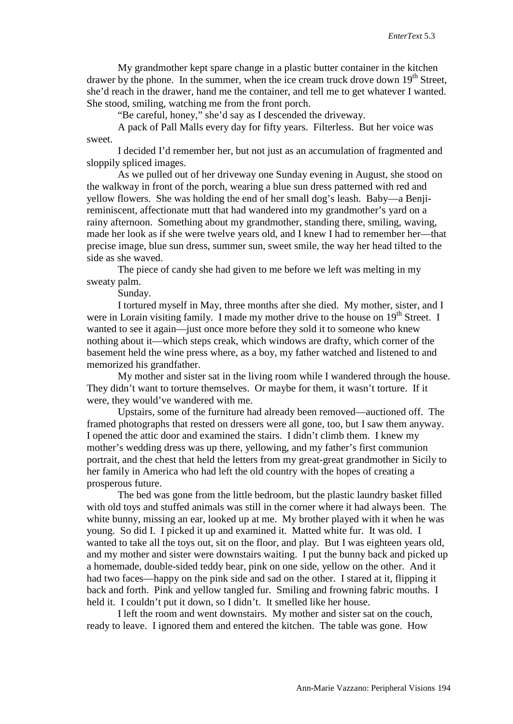My grandmother kept spare change in a plastic butter container in the kitchen drawer by the phone. In the summer, when the ice cream truck drove down  $19<sup>th</sup>$  Street, she'd reach in the drawer, hand me the container, and tell me to get whatever I wanted. She stood, smiling, watching me from the front porch.

"Be careful, honey," she'd say as I descended the driveway.

A pack of Pall Malls every day for fifty years. Filterless. But her voice was sweet.

I decided I'd remember her, but not just as an accumulation of fragmented and sloppily spliced images.

As we pulled out of her driveway one Sunday evening in August, she stood on the walkway in front of the porch, wearing a blue sun dress patterned with red and yellow flowers. She was holding the end of her small dog's leash. Baby—a Benjireminiscent, affectionate mutt that had wandered into my grandmother's yard on a rainy afternoon. Something about my grandmother, standing there, smiling, waving, made her look as if she were twelve years old, and I knew I had to remember her—that precise image, blue sun dress, summer sun, sweet smile, the way her head tilted to the side as she waved.

The piece of candy she had given to me before we left was melting in my sweaty palm.

Sunday.

I tortured myself in May, three months after she died. My mother, sister, and I were in Lorain visiting family. I made my mother drive to the house on  $19<sup>th</sup>$  Street. I wanted to see it again—just once more before they sold it to someone who knew nothing about it—which steps creak, which windows are drafty, which corner of the basement held the wine press where, as a boy, my father watched and listened to and memorized his grandfather.

My mother and sister sat in the living room while I wandered through the house. They didn't want to torture themselves. Or maybe for them, it wasn't torture. If it were, they would've wandered with me.

Upstairs, some of the furniture had already been removed—auctioned off. The framed photographs that rested on dressers were all gone, too, but I saw them anyway. I opened the attic door and examined the stairs. I didn't climb them. I knew my mother's wedding dress was up there, yellowing, and my father's first communion portrait, and the chest that held the letters from my great-great grandmother in Sicily to her family in America who had left the old country with the hopes of creating a prosperous future.

The bed was gone from the little bedroom, but the plastic laundry basket filled with old toys and stuffed animals was still in the corner where it had always been. The white bunny, missing an ear, looked up at me. My brother played with it when he was young. So did I. I picked it up and examined it. Matted white fur. It was old. I wanted to take all the toys out, sit on the floor, and play. But I was eighteen years old, and my mother and sister were downstairs waiting. I put the bunny back and picked up a homemade, double-sided teddy bear, pink on one side, yellow on the other. And it had two faces—happy on the pink side and sad on the other. I stared at it, flipping it back and forth. Pink and yellow tangled fur. Smiling and frowning fabric mouths. I held it. I couldn't put it down, so I didn't. It smelled like her house.

I left the room and went downstairs. My mother and sister sat on the couch, ready to leave. I ignored them and entered the kitchen. The table was gone. How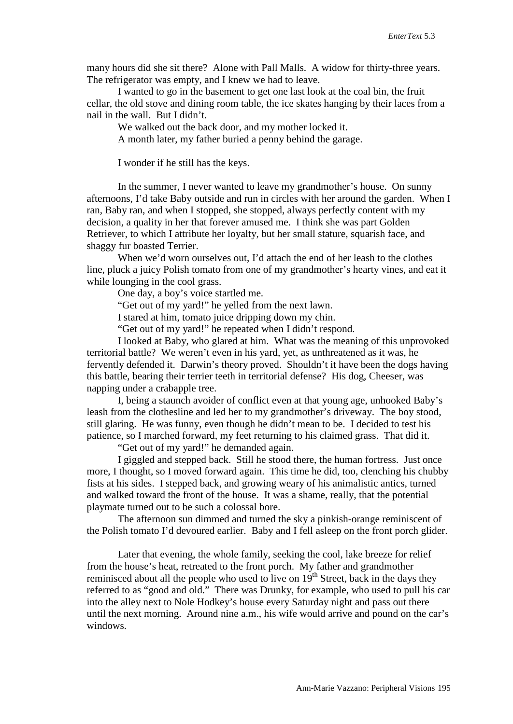many hours did she sit there? Alone with Pall Malls. A widow for thirty-three years. The refrigerator was empty, and I knew we had to leave.

I wanted to go in the basement to get one last look at the coal bin, the fruit cellar, the old stove and dining room table, the ice skates hanging by their laces from a nail in the wall. But I didn't.

We walked out the back door, and my mother locked it.

A month later, my father buried a penny behind the garage.

I wonder if he still has the keys.

In the summer, I never wanted to leave my grandmother's house. On sunny afternoons, I'd take Baby outside and run in circles with her around the garden. When I ran, Baby ran, and when I stopped, she stopped, always perfectly content with my decision, a quality in her that forever amused me. I think she was part Golden Retriever, to which I attribute her loyalty, but her small stature, squarish face, and shaggy fur boasted Terrier.

When we'd worn ourselves out, I'd attach the end of her leash to the clothes line, pluck a juicy Polish tomato from one of my grandmother's hearty vines, and eat it while lounging in the cool grass.

One day, a boy's voice startled me.

"Get out of my yard!" he yelled from the next lawn.

I stared at him, tomato juice dripping down my chin.

"Get out of my yard!" he repeated when I didn't respond.

I looked at Baby, who glared at him. What was the meaning of this unprovoked territorial battle? We weren't even in his yard, yet, as unthreatened as it was, he fervently defended it. Darwin's theory proved. Shouldn't it have been the dogs having this battle, bearing their terrier teeth in territorial defense? His dog, Cheeser, was napping under a crabapple tree.

I, being a staunch avoider of conflict even at that young age, unhooked Baby's leash from the clothesline and led her to my grandmother's driveway. The boy stood, still glaring. He was funny, even though he didn't mean to be. I decided to test his patience, so I marched forward, my feet returning to his claimed grass. That did it.

"Get out of my yard!" he demanded again.

I giggled and stepped back. Still he stood there, the human fortress. Just once more, I thought, so I moved forward again. This time he did, too, clenching his chubby fists at his sides. I stepped back, and growing weary of his animalistic antics, turned and walked toward the front of the house. It was a shame, really, that the potential playmate turned out to be such a colossal bore.

The afternoon sun dimmed and turned the sky a pinkish-orange reminiscent of the Polish tomato I'd devoured earlier. Baby and I fell asleep on the front porch glider.

Later that evening, the whole family, seeking the cool, lake breeze for relief from the house's heat, retreated to the front porch. My father and grandmother reminisced about all the people who used to live on  $19<sup>th</sup>$  Street, back in the days they referred to as "good and old." There was Drunky, for example, who used to pull his car into the alley next to Nole Hodkey's house every Saturday night and pass out there until the next morning. Around nine a.m., his wife would arrive and pound on the car's windows.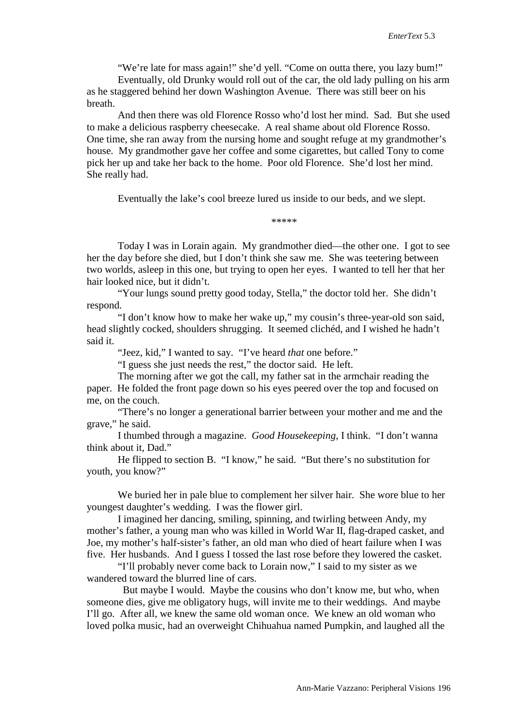"We're late for mass again!" she'd yell. "Come on outta there, you lazy bum!"

Eventually, old Drunky would roll out of the car, the old lady pulling on his arm as he staggered behind her down Washington Avenue. There was still beer on his breath.

And then there was old Florence Rosso who'd lost her mind. Sad. But she used to make a delicious raspberry cheesecake. A real shame about old Florence Rosso. One time, she ran away from the nursing home and sought refuge at my grandmother's house. My grandmother gave her coffee and some cigarettes, but called Tony to come pick her up and take her back to the home. Poor old Florence. She'd lost her mind. She really had.

Eventually the lake's cool breeze lured us inside to our beds, and we slept.

\*\*\*\*\*

Today I was in Lorain again. My grandmother died—the other one. I got to see her the day before she died, but I don't think she saw me. She was teetering between two worlds, asleep in this one, but trying to open her eyes. I wanted to tell her that her hair looked nice, but it didn't.

"Your lungs sound pretty good today, Stella," the doctor told her. She didn't respond.

"I don't know how to make her wake up," my cousin's three-year-old son said, head slightly cocked, shoulders shrugging. It seemed clichéd, and I wished he hadn't said it.

"Jeez, kid," I wanted to say. "I've heard *that* one before."

"I guess she just needs the rest," the doctor said. He left.

The morning after we got the call, my father sat in the armchair reading the paper. He folded the front page down so his eyes peered over the top and focused on me, on the couch.

"There's no longer a generational barrier between your mother and me and the grave," he said.

I thumbed through a magazine. *Good Housekeeping*, I think. "I don't wanna think about it, Dad."

He flipped to section B. "I know," he said. "But there's no substitution for youth, you know?"

We buried her in pale blue to complement her silver hair. She wore blue to her youngest daughter's wedding. I was the flower girl.

I imagined her dancing, smiling, spinning, and twirling between Andy, my mother's father, a young man who was killed in World War II, flag-draped casket, and Joe, my mother's half-sister's father, an old man who died of heart failure when I was five. Her husbands. And I guess I tossed the last rose before they lowered the casket.

"I'll probably never come back to Lorain now," I said to my sister as we wandered toward the blurred line of cars.

 But maybe I would. Maybe the cousins who don't know me, but who, when someone dies, give me obligatory hugs, will invite me to their weddings. And maybe I'll go. After all, we knew the same old woman once. We knew an old woman who loved polka music, had an overweight Chihuahua named Pumpkin, and laughed all the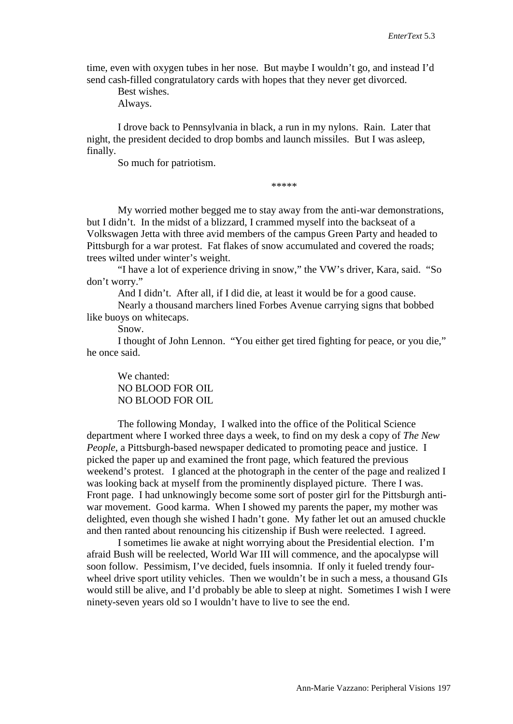time, even with oxygen tubes in her nose. But maybe I wouldn't go, and instead I'd send cash-filled congratulatory cards with hopes that they never get divorced.

Best wishes.

Always.

I drove back to Pennsylvania in black, a run in my nylons. Rain. Later that night, the president decided to drop bombs and launch missiles. But I was asleep, finally.

So much for patriotism.

\*\*\*\*\*

My worried mother begged me to stay away from the anti-war demonstrations, but I didn't. In the midst of a blizzard, I crammed myself into the backseat of a Volkswagen Jetta with three avid members of the campus Green Party and headed to Pittsburgh for a war protest. Fat flakes of snow accumulated and covered the roads; trees wilted under winter's weight.

"I have a lot of experience driving in snow," the VW's driver, Kara, said. "So don't worry."

And I didn't. After all, if I did die, at least it would be for a good cause.

Nearly a thousand marchers lined Forbes Avenue carrying signs that bobbed like buoys on whitecaps.

Snow.

I thought of John Lennon. "You either get tired fighting for peace, or you die," he once said.

We chanted: NO BLOOD FOR OIL NO BLOOD FOR OIL

The following Monday, I walked into the office of the Political Science department where I worked three days a week, to find on my desk a copy of *The New People*, a Pittsburgh-based newspaper dedicated to promoting peace and justice. I picked the paper up and examined the front page, which featured the previous weekend's protest. I glanced at the photograph in the center of the page and realized I was looking back at myself from the prominently displayed picture. There I was. Front page. I had unknowingly become some sort of poster girl for the Pittsburgh antiwar movement. Good karma. When I showed my parents the paper, my mother was delighted, even though she wished I hadn't gone. My father let out an amused chuckle and then ranted about renouncing his citizenship if Bush were reelected. I agreed.

I sometimes lie awake at night worrying about the Presidential election. I'm afraid Bush will be reelected, World War III will commence, and the apocalypse will soon follow. Pessimism, I've decided, fuels insomnia. If only it fueled trendy fourwheel drive sport utility vehicles. Then we wouldn't be in such a mess, a thousand GIs would still be alive, and I'd probably be able to sleep at night. Sometimes I wish I were ninety-seven years old so I wouldn't have to live to see the end.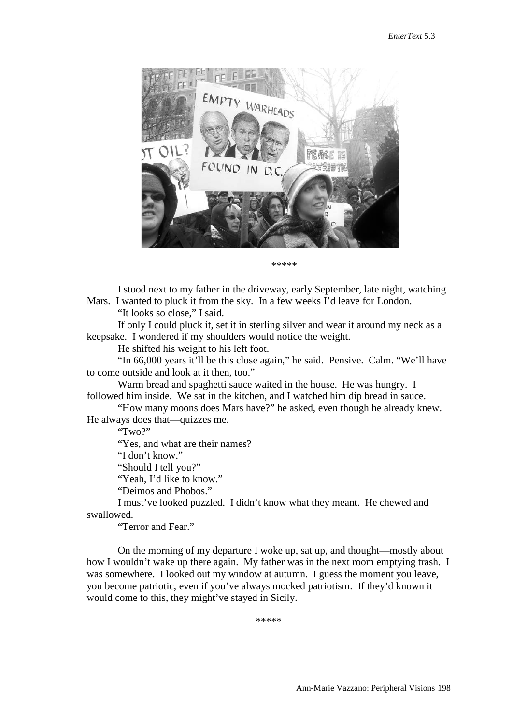

\*\*\*\*\*

I stood next to my father in the driveway, early September, late night, watching Mars. I wanted to pluck it from the sky. In a few weeks I'd leave for London. "It looks so close," I said.

If only I could pluck it, set it in sterling silver and wear it around my neck as a keepsake. I wondered if my shoulders would notice the weight.

He shifted his weight to his left foot.

"In 66,000 years it'll be this close again," he said. Pensive. Calm. "We'll have to come outside and look at it then, too."

Warm bread and spaghetti sauce waited in the house. He was hungry. I followed him inside. We sat in the kitchen, and I watched him dip bread in sauce.

"How many moons does Mars have?" he asked, even though he already knew. He always does that—quizzes me.

"Two?"

"Yes, and what are their names?

"I don't know."

"Should I tell you?"

"Yeah, I'd like to know."

"Deimos and Phobos."

I must've looked puzzled. I didn't know what they meant. He chewed and swallowed.

"Terror and Fear."

On the morning of my departure I woke up, sat up, and thought—mostly about how I wouldn't wake up there again. My father was in the next room emptying trash. I was somewhere. I looked out my window at autumn. I guess the moment you leave, you become patriotic, even if you've always mocked patriotism. If they'd known it would come to this, they might've stayed in Sicily.

\*\*\*\*\*\*\*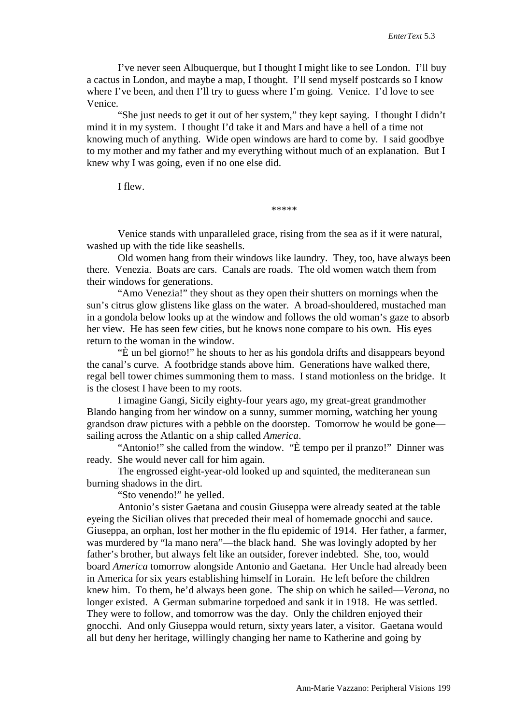I've never seen Albuquerque, but I thought I might like to see London. I'll buy a cactus in London, and maybe a map, I thought. I'll send myself postcards so I know where I've been, and then I'll try to guess where I'm going. Venice. I'd love to see Venice.

"She just needs to get it out of her system," they kept saying. I thought I didn't mind it in my system. I thought I'd take it and Mars and have a hell of a time not knowing much of anything. Wide open windows are hard to come by. I said goodbye to my mother and my father and my everything without much of an explanation. But I knew why I was going, even if no one else did.

I flew.

\*\*\*\*\*

Venice stands with unparalleled grace, rising from the sea as if it were natural, washed up with the tide like seashells.

Old women hang from their windows like laundry. They, too, have always been there. Venezia. Boats are cars. Canals are roads. The old women watch them from their windows for generations.

"Amo Venezia!" they shout as they open their shutters on mornings when the sun's citrus glow glistens like glass on the water. A broad-shouldered, mustached man in a gondola below looks up at the window and follows the old woman's gaze to absorb her view. He has seen few cities, but he knows none compare to his own. His eyes return to the woman in the window.

"È un bel giorno!" he shouts to her as his gondola drifts and disappears beyond the canal's curve. A footbridge stands above him. Generations have walked there, regal bell tower chimes summoning them to mass. I stand motionless on the bridge. It is the closest I have been to my roots.

I imagine Gangi, Sicily eighty-four years ago, my great-great grandmother Blando hanging from her window on a sunny, summer morning, watching her young grandson draw pictures with a pebble on the doorstep. Tomorrow he would be gone sailing across the Atlantic on a ship called *America*.

"Antonio!" she called from the window. "È tempo per il pranzo!" Dinner was ready. She would never call for him again.

The engrossed eight-year-old looked up and squinted, the mediteranean sun burning shadows in the dirt.

"Sto venendo!" he yelled.

Antonio's sister Gaetana and cousin Giuseppa were already seated at the table eyeing the Sicilian olives that preceded their meal of homemade gnocchi and sauce. Giuseppa, an orphan, lost her mother in the flu epidemic of 1914. Her father, a farmer, was murdered by "la mano nera"—the black hand. She was lovingly adopted by her father's brother, but always felt like an outsider, forever indebted. She, too, would board *America* tomorrow alongside Antonio and Gaetana. Her Uncle had already been in America for six years establishing himself in Lorain. He left before the children knew him. To them, he'd always been gone. The ship on which he sailed—*Verona*, no longer existed. A German submarine torpedoed and sank it in 1918. He was settled. They were to follow, and tomorrow was the day. Only the children enjoyed their gnocchi. And only Giuseppa would return, sixty years later, a visitor. Gaetana would all but deny her heritage, willingly changing her name to Katherine and going by